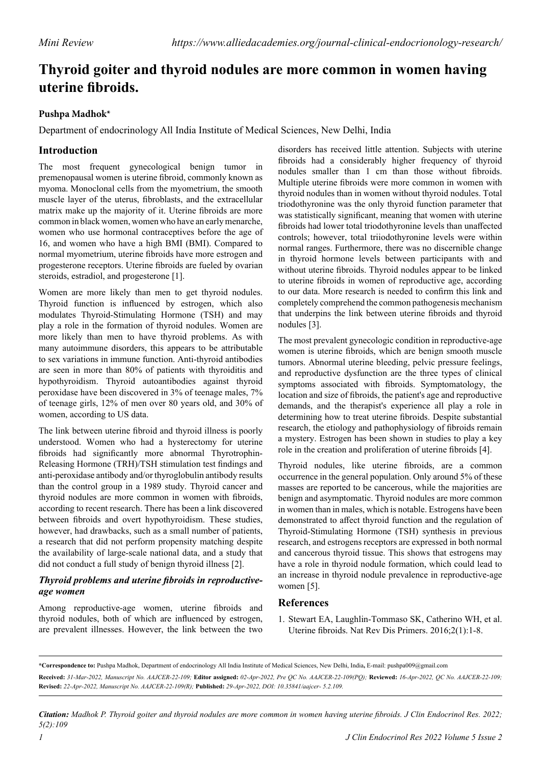# **Thyroid goiter and thyroid nodules are more common in women having uterine fibroids.**

### **Pushpa Madhok\***

Department of endocrinology All India Institute of Medical Sciences, New Delhi, India

# **Introduction**

The most frequent gynecological benign tumor in premenopausal women is uterine fibroid, commonly known as myoma. Monoclonal cells from the myometrium, the smooth muscle layer of the uterus, fibroblasts, and the extracellular matrix make up the majority of it. Uterine fibroids are more common in black women, women who have an early menarche, women who use hormonal contraceptives before the age of 16, and women who have a high BMI (BMI). Compared to normal myometrium, uterine fibroids have more estrogen and progesterone receptors. Uterine fibroids are fueled by ovarian steroids, estradiol, and progesterone [1].

Women are more likely than men to get thyroid nodules. Thyroid function is influenced by estrogen, which also modulates Thyroid-Stimulating Hormone (TSH) and may play a role in the formation of thyroid nodules. Women are more likely than men to have thyroid problems. As with many autoimmune disorders, this appears to be attributable to sex variations in immune function. Anti-thyroid antibodies are seen in more than 80% of patients with thyroiditis and hypothyroidism. Thyroid autoantibodies against thyroid peroxidase have been discovered in 3% of teenage males, 7% of teenage girls, 12% of men over 80 years old, and 30% of women, according to US data.

The link between uterine fibroid and thyroid illness is poorly understood. Women who had a hysterectomy for uterine fibroids had significantly more abnormal Thyrotrophin-Releasing Hormone (TRH)/TSH stimulation test findings and anti-peroxidase antibody and/or thyroglobulin antibody results than the control group in a 1989 study. Thyroid cancer and thyroid nodules are more common in women with fibroids, according to recent research. There has been a link discovered between fibroids and overt hypothyroidism. These studies, however, had drawbacks, such as a small number of patients, a research that did not perform propensity matching despite the availability of large-scale national data, and a study that did not conduct a full study of benign thyroid illness [2].

#### *Thyroid problems and uterine fibroids in reproductiveage women*

Among reproductive-age women, uterine fibroids and thyroid nodules, both of which are influenced by estrogen, are prevalent illnesses. However, the link between the two

disorders has received little attention. Subjects with uterine fibroids had a considerably higher frequency of thyroid nodules smaller than 1 cm than those without fibroids. Multiple uterine fibroids were more common in women with thyroid nodules than in women without thyroid nodules. Total triodothyronine was the only thyroid function parameter that was statistically significant, meaning that women with uterine fibroids had lower total triodothyronine levels than unaffected controls; however, total triiodothyronine levels were within normal ranges. Furthermore, there was no discernible change in thyroid hormone levels between participants with and without uterine fibroids. Thyroid nodules appear to be linked to uterine fibroids in women of reproductive age, according to our data. More research is needed to confirm this link and completely comprehend the common pathogenesis mechanism that underpins the link between uterine fibroids and thyroid nodules [3].

The most prevalent gynecologic condition in reproductive-age women is uterine fibroids, which are benign smooth muscle tumors. Abnormal uterine bleeding, pelvic pressure feelings, and reproductive dysfunction are the three types of clinical symptoms associated with fibroids. Symptomatology, the location and size of fibroids, the patient's age and reproductive demands, and the therapist's experience all play a role in determining how to treat uterine fibroids. Despite substantial research, the etiology and pathophysiology of fibroids remain a mystery. Estrogen has been shown in studies to play a key role in the creation and proliferation of uterine fibroids [4].

Thyroid nodules, like uterine fibroids, are a common occurrence in the general population. Only around 5% of these masses are reported to be cancerous, while the majorities are benign and asymptomatic. Thyroid nodules are more common in women than in males, which is notable. Estrogens have been demonstrated to affect thyroid function and the regulation of Thyroid-Stimulating Hormone (TSH) synthesis in previous research, and estrogens receptors are expressed in both normal and cancerous thyroid tissue. This shows that estrogens may have a role in thyroid nodule formation, which could lead to an increase in thyroid nodule prevalence in reproductive-age women [5].

## **References**

1. Stewart EA, Laughlin-Tommaso SK, Catherino WH, et al. [Uterine fibroids.](https://www.nature.com/articles/nrdp201643) Nat Rev Dis Primers. 2016;2(1):1-8.

*Citation: Madhok P. Thyroid goiter and thyroid nodules are more common in women having uterine fibroids. J Clin Endocrinol Res. 2022; 5(2):109*

**<sup>\*</sup>Correspondence to:** Pushpa Madhok, Department of endocrinology All India Institute of Medical Sciences, New Delhi, India**,** E-mail: pushpa009@gmail.com **Received:** *31-Mar-2022, Manuscript No. AAJCER-22-109;* **Editor assigned:** *02-Apr-2022, Pre QC No. AAJCER-22-109(PQ);* **Reviewed:** *16-Apr-2022, QC No. AAJCER-22-109;*  **Revised:** *22-Apr-2022, Manuscript No. AAJCER-22-109(R);* **Published:** *29-Apr-2022, DOI: 10.35841/aajcer- 5.2.109.*